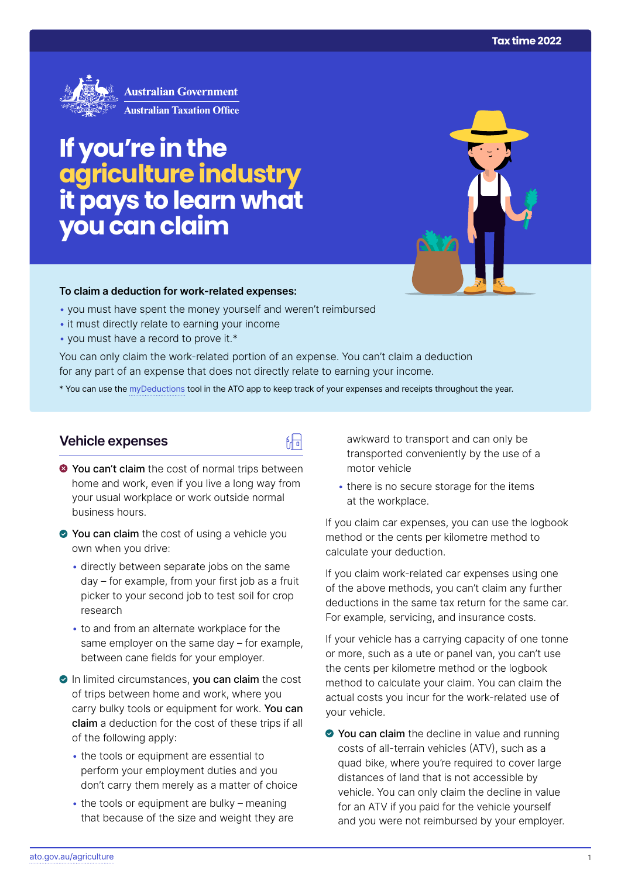

# **If you're in the agriculture industry it pays to learn what you can claim**

#### **To claim a deduction for work‑related expenses:**

- you must have spent the money yourself and weren't reimbursed
- it must directly relate to earning your income
- you must have a record to prove it.\*

You can only claim the work-related portion of an expense. You can't claim a deduction for any part of an expense that does not directly relate to earning your income.

\* You can use the [myDeductions](https://ato.gov.au/mydeductions) tool in the ATO app to keep track of your expenses and receipts throughout the year.

品

# **Vehicle expenses**

- $\bullet$  You can't claim the cost of normal trips between home and work, even if you live a long way from your usual workplace or work outside normal business hours.
- ◆ You can claim the cost of using a vehicle you own when you drive:
	- directly between separate jobs on the same day – for example, from your first job as a fruit picker to your second job to test soil for crop research
	- to and from an alternate workplace for the same employer on the same day – for example, between cane fields for your employer.
- In limited circumstances, you can claim the cost of trips between home and work, where you carry bulky tools or equipment for work. You can claim a deduction for the cost of these trips if all of the following apply:
	- the tools or equipment are essential to perform your employment duties and you don't carry them merely as a matter of choice
	- $\bullet$  the tools or equipment are bulky meaning that because of the size and weight they are

awkward to transport and can only be transported conveniently by the use of a motor vehicle

• there is no secure storage for the items at the workplace.

If you claim car expenses, you can use the logbook method or the cents per kilometre method to calculate your deduction.

If you claim work-related car expenses using one of the above methods, you can't claim any further deductions in the same tax return for the same car. For example, servicing, and insurance costs.

If your vehicle has a carrying capacity of one tonne or more, such as a ute or panel van, you can't use the cents per kilometre method or the logbook method to calculate your claim. You can claim the actual costs you incur for the work-related use of your vehicle.

● You can claim the decline in value and running costs of all-terrain vehicles (ATV), such as a quad bike, where you're required to cover large distances of land that is not accessible by vehicle. You can only claim the decline in value for an ATV if you paid for the vehicle yourself and you were not reimbursed by your employer.